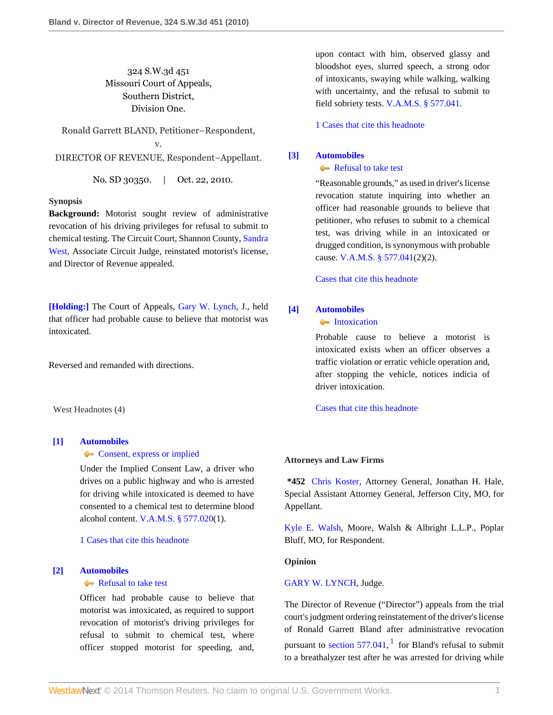# 324 S.W.3d 451 Missouri Court of Appeals, Southern District, Division One.

Ronald Garrett BLAND, Petitioner–Respondent, v. DIRECTOR OF REVENUE, Respondent–Appellant.

No. SD 30350. | Oct. 22, 2010.

# **Synopsis**

**Background:** Motorist sought review of administrative revocation of his driving privileges for refusal to submit to chemical testing. The Circuit Court, Shannon County, [Sandra](http://www.westlaw.com/Link/Document/FullText?findType=h&pubNum=176284&cite=0432071801&originatingDoc=I691e5ad8de9311df952c80d2993fba83&refType=RQ&originationContext=document&vr=3.0&rs=cblt1.0&transitionType=DocumentItem&contextData=(sc.Search)) [West,](http://www.westlaw.com/Link/Document/FullText?findType=h&pubNum=176284&cite=0432071801&originatingDoc=I691e5ad8de9311df952c80d2993fba83&refType=RQ&originationContext=document&vr=3.0&rs=cblt1.0&transitionType=DocumentItem&contextData=(sc.Search)) Associate Circuit Judge, reinstated motorist's license, and Director of Revenue appealed.

**[\[Holding:\]](#page-0-0)** The Court of Appeals, [Gary W. Lynch,](http://www.westlaw.com/Link/Document/FullText?findType=h&pubNum=176284&cite=0132591401&originatingDoc=I691e5ad8de9311df952c80d2993fba83&refType=RQ&originationContext=document&vr=3.0&rs=cblt1.0&transitionType=DocumentItem&contextData=(sc.Search)) J., held that officer had probable cause to believe that motorist was intoxicated.

Reversed and remanded with directions.

West Headnotes (4)

# <span id="page-0-1"></span>**[\[1\]](#page-1-0) [Automobiles](http://www.westlaw.com/Browse/Home/KeyNumber/48A/View.html?docGuid=I691e5ad8de9311df952c80d2993fba83&originationContext=document&vr=3.0&rs=cblt1.0&transitionType=DocumentItem&contextData=(sc.Search))**

### **[Consent, express or implied](http://www.westlaw.com/Browse/Home/KeyNumber/48Ak418/View.html?docGuid=I691e5ad8de9311df952c80d2993fba83&originationContext=document&vr=3.0&rs=cblt1.0&transitionType=DocumentItem&contextData=(sc.Search))**

Under the Implied Consent Law, a driver who drives on a public highway and who is arrested for driving while intoxicated is deemed to have consented to a chemical test to determine blood alcohol content. [V.A.M.S. § 577.020](http://www.westlaw.com/Link/Document/FullText?findType=L&pubNum=1000229&cite=MOST577.020&originatingDoc=I691e5ad8de9311df952c80d2993fba83&refType=LQ&originationContext=document&vr=3.0&rs=cblt1.0&transitionType=DocumentItem&contextData=(sc.Search))(1).

[1 Cases that cite this headnote](http://www.westlaw.com/Link/RelatedInformation/DocHeadnoteLink?docGuid=I691e5ad8de9311df952c80d2993fba83&headnoteId=202345340600120110206132558&originationContext=document&vr=3.0&rs=cblt1.0&transitionType=CitingReferences&contextData=(sc.Search))

# <span id="page-0-0"></span>**[\[2\]](#page-2-0) [Automobiles](http://www.westlaw.com/Browse/Home/KeyNumber/48A/View.html?docGuid=I691e5ad8de9311df952c80d2993fba83&originationContext=document&vr=3.0&rs=cblt1.0&transitionType=DocumentItem&contextData=(sc.Search))**

### [Refusal to take test](http://www.westlaw.com/Browse/Home/KeyNumber/48Ak144.1(1.20)/View.html?docGuid=I691e5ad8de9311df952c80d2993fba83&originationContext=document&vr=3.0&rs=cblt1.0&transitionType=DocumentItem&contextData=(sc.Search))

Officer had probable cause to believe that motorist was intoxicated, as required to support revocation of motorist's driving privileges for refusal to submit to chemical test, where officer stopped motorist for speeding, and,

upon contact with him, observed glassy and bloodshot eyes, slurred speech, a strong odor of intoxicants, swaying while walking, walking with uncertainty, and the refusal to submit to field sobriety tests. [V.A.M.S. § 577.041](http://www.westlaw.com/Link/Document/FullText?findType=L&pubNum=1000229&cite=MOST577.041&originatingDoc=I691e5ad8de9311df952c80d2993fba83&refType=LQ&originationContext=document&vr=3.0&rs=cblt1.0&transitionType=DocumentItem&contextData=(sc.Search)).

[1 Cases that cite this headnote](http://www.westlaw.com/Link/RelatedInformation/DocHeadnoteLink?docGuid=I691e5ad8de9311df952c80d2993fba83&headnoteId=202345340600220110206132558&originationContext=document&vr=3.0&rs=cblt1.0&transitionType=CitingReferences&contextData=(sc.Search))

# <span id="page-0-2"></span>**[\[3\]](#page-2-1) [Automobiles](http://www.westlaw.com/Browse/Home/KeyNumber/48A/View.html?docGuid=I691e5ad8de9311df952c80d2993fba83&originationContext=document&vr=3.0&rs=cblt1.0&transitionType=DocumentItem&contextData=(sc.Search))**

# [Refusal to take test](http://www.westlaw.com/Browse/Home/KeyNumber/48Ak144.1(1.20)/View.html?docGuid=I691e5ad8de9311df952c80d2993fba83&originationContext=document&vr=3.0&rs=cblt1.0&transitionType=DocumentItem&contextData=(sc.Search))

"Reasonable grounds," as used in driver's license revocation statute inquiring into whether an officer had reasonable grounds to believe that petitioner, who refuses to submit to a chemical test, was driving while in an intoxicated or drugged condition, is synonymous with probable cause. [V.A.M.S. § 577.041](http://www.westlaw.com/Link/Document/FullText?findType=L&pubNum=1000229&cite=MOST577.041&originatingDoc=I691e5ad8de9311df952c80d2993fba83&refType=LQ&originationContext=document&vr=3.0&rs=cblt1.0&transitionType=DocumentItem&contextData=(sc.Search))(2)(2).

[Cases that cite this headnote](http://www.westlaw.com/Link/RelatedInformation/DocHeadnoteLink?docGuid=I691e5ad8de9311df952c80d2993fba83&headnoteId=202345340600320110206132558&originationContext=document&vr=3.0&rs=cblt1.0&transitionType=CitingReferences&contextData=(sc.Search))

## <span id="page-0-3"></span>**[\[4\]](#page-2-2) [Automobiles](http://www.westlaw.com/Browse/Home/KeyNumber/48A/View.html?docGuid=I691e5ad8de9311df952c80d2993fba83&originationContext=document&vr=3.0&rs=cblt1.0&transitionType=DocumentItem&contextData=(sc.Search))**

# **[Intoxication](http://www.westlaw.com/Browse/Home/KeyNumber/48Ak349(6)/View.html?docGuid=I691e5ad8de9311df952c80d2993fba83&originationContext=document&vr=3.0&rs=cblt1.0&transitionType=DocumentItem&contextData=(sc.Search))**

Probable cause to believe a motorist is intoxicated exists when an officer observes a traffic violation or erratic vehicle operation and, after stopping the vehicle, notices indicia of driver intoxication.

[Cases that cite this headnote](http://www.westlaw.com/Link/RelatedInformation/DocHeadnoteLink?docGuid=I691e5ad8de9311df952c80d2993fba83&headnoteId=202345340600420110206132558&originationContext=document&vr=3.0&rs=cblt1.0&transitionType=CitingReferences&contextData=(sc.Search))

#### **Attorneys and Law Firms**

**\*452** [Chris Koster,](http://www.westlaw.com/Link/Document/FullText?findType=h&pubNum=176284&cite=0369913201&originatingDoc=I691e5ad8de9311df952c80d2993fba83&refType=RQ&originationContext=document&vr=3.0&rs=cblt1.0&transitionType=DocumentItem&contextData=(sc.Search)) Attorney General, Jonathan H. Hale, Special Assistant Attorney General, Jefferson City, MO, for Appellant.

[Kyle E. Walsh,](http://www.westlaw.com/Link/Document/FullText?findType=h&pubNum=176284&cite=0410412901&originatingDoc=I691e5ad8de9311df952c80d2993fba83&refType=RQ&originationContext=document&vr=3.0&rs=cblt1.0&transitionType=DocumentItem&contextData=(sc.Search)) Moore, Walsh & Albright L.L.P., Poplar Bluff, MO, for Respondent.

### **Opinion**

# [GARY W. LYNCH,](http://www.westlaw.com/Link/Document/FullText?findType=h&pubNum=176284&cite=0132591401&originatingDoc=I691e5ad8de9311df952c80d2993fba83&refType=RQ&originationContext=document&vr=3.0&rs=cblt1.0&transitionType=DocumentItem&contextData=(sc.Search)) Judge.

<span id="page-0-4"></span>The Director of Revenue ("Director") appeals from the trial court's judgment ordering reinstatement of the driver's license of Ronald Garrett Bland after administrative revocation pursuant to section  $577.041$  $577.041$ ,  $^1$  for Bland's refusal to submit to a breathalyzer test after he was arrested for driving while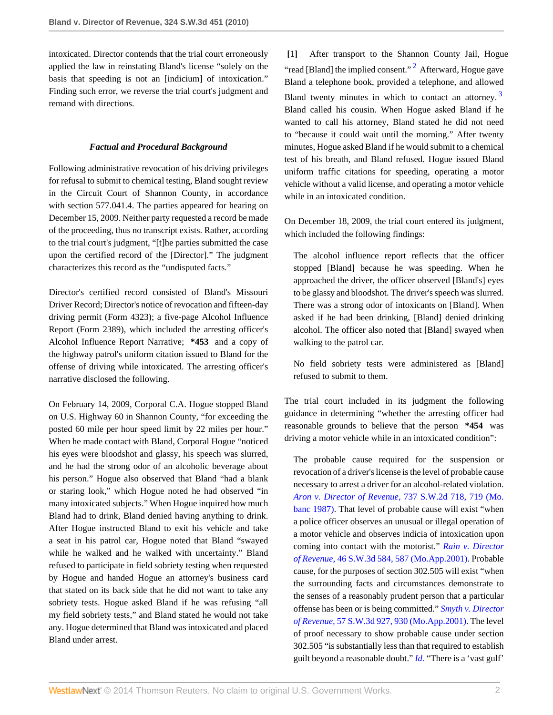intoxicated. Director contends that the trial court erroneously applied the law in reinstating Bland's license "solely on the basis that speeding is not an [indicium] of intoxication." Finding such error, we reverse the trial court's judgment and remand with directions.

# *Factual and Procedural Background*

Following administrative revocation of his driving privileges for refusal to submit to chemical testing, Bland sought review in the Circuit Court of Shannon County, in accordance with section 577.041.4. The parties appeared for hearing on December 15, 2009. Neither party requested a record be made of the proceeding, thus no transcript exists. Rather, according to the trial court's judgment, "[t]he parties submitted the case upon the certified record of the [Director]." The judgment characterizes this record as the "undisputed facts."

Director's certified record consisted of Bland's Missouri Driver Record; Director's notice of revocation and fifteen-day driving permit (Form 4323); a five-page Alcohol Influence Report (Form 2389), which included the arresting officer's Alcohol Influence Report Narrative; **\*453** and a copy of the highway patrol's uniform citation issued to Bland for the offense of driving while intoxicated. The arresting officer's narrative disclosed the following.

On February 14, 2009, Corporal C.A. Hogue stopped Bland on U.S. Highway 60 in Shannon County, "for exceeding the posted 60 mile per hour speed limit by 22 miles per hour." When he made contact with Bland, Corporal Hogue "noticed his eyes were bloodshot and glassy, his speech was slurred, and he had the strong odor of an alcoholic beverage about his person." Hogue also observed that Bland "had a blank or staring look," which Hogue noted he had observed "in many intoxicated subjects." When Hogue inquired how much Bland had to drink, Bland denied having anything to drink. After Hogue instructed Bland to exit his vehicle and take a seat in his patrol car, Hogue noted that Bland "swayed while he walked and he walked with uncertainty." Bland refused to participate in field sobriety testing when requested by Hogue and handed Hogue an attorney's business card that stated on its back side that he did not want to take any sobriety tests. Hogue asked Bland if he was refusing "all my field sobriety tests," and Bland stated he would not take any. Hogue determined that Bland was intoxicated and placed Bland under arrest.

<span id="page-1-2"></span><span id="page-1-1"></span><span id="page-1-0"></span>**[\[1\]](#page-0-1)** After transport to the Shannon County Jail, Hogue "read [Bland] the implied consent."<sup>[2](#page-3-1)</sup> Afterward, Hogue gave Bland a telephone book, provided a telephone, and allowed Bland twenty minutes in which to contact an attorney.  $3$ Bland called his cousin. When Hogue asked Bland if he wanted to call his attorney, Bland stated he did not need to "because it could wait until the morning." After twenty minutes, Hogue asked Bland if he would submit to a chemical test of his breath, and Bland refused. Hogue issued Bland uniform traffic citations for speeding, operating a motor vehicle without a valid license, and operating a motor vehicle while in an intoxicated condition.

On December 18, 2009, the trial court entered its judgment, which included the following findings:

The alcohol influence report reflects that the officer stopped [Bland] because he was speeding. When he approached the driver, the officer observed [Bland's] eyes to be glassy and bloodshot. The driver's speech was slurred. There was a strong odor of intoxicants on [Bland]. When asked if he had been drinking, [Bland] denied drinking alcohol. The officer also noted that [Bland] swayed when walking to the patrol car.

No field sobriety tests were administered as [Bland] refused to submit to them.

The trial court included in its judgment the following guidance in determining "whether the arresting officer had reasonable grounds to believe that the person **\*454** was driving a motor vehicle while in an intoxicated condition":

The probable cause required for the suspension or revocation of a driver's license is the level of probable cause necessary to arrest a driver for an alcohol-related violation. *[Aron v. Director of Revenue,](http://www.westlaw.com/Link/Document/FullText?findType=Y&serNum=1987125020&pubNum=713&fi=co_pp_sp_713_719&originationContext=document&vr=3.0&rs=cblt1.0&transitionType=DocumentItem&contextData=(sc.Search)#co_pp_sp_713_719)* 737 S.W.2d 718, 719 (Mo. [banc 1987\).](http://www.westlaw.com/Link/Document/FullText?findType=Y&serNum=1987125020&pubNum=713&fi=co_pp_sp_713_719&originationContext=document&vr=3.0&rs=cblt1.0&transitionType=DocumentItem&contextData=(sc.Search)#co_pp_sp_713_719) That level of probable cause will exist "when a police officer observes an unusual or illegal operation of a motor vehicle and observes indicia of intoxication upon coming into contact with the motorist." *[Rain v. Director](http://www.westlaw.com/Link/Document/FullText?findType=Y&serNum=2001308850&pubNum=4644&fi=co_pp_sp_4644_587&originationContext=document&vr=3.0&rs=cblt1.0&transitionType=DocumentItem&contextData=(sc.Search)#co_pp_sp_4644_587) of Revenue,* [46 S.W.3d 584, 587 \(Mo.App.2001\).](http://www.westlaw.com/Link/Document/FullText?findType=Y&serNum=2001308850&pubNum=4644&fi=co_pp_sp_4644_587&originationContext=document&vr=3.0&rs=cblt1.0&transitionType=DocumentItem&contextData=(sc.Search)#co_pp_sp_4644_587) Probable cause, for the purposes of section 302.505 will exist "when the surrounding facts and circumstances demonstrate to the senses of a reasonably prudent person that a particular offense has been or is being committed." *[Smyth v. Director](http://www.westlaw.com/Link/Document/FullText?findType=Y&serNum=2001928939&pubNum=4644&fi=co_pp_sp_4644_930&originationContext=document&vr=3.0&rs=cblt1.0&transitionType=DocumentItem&contextData=(sc.Search)#co_pp_sp_4644_930) of Revenue,* [57 S.W.3d 927, 930 \(Mo.App.2001\)](http://www.westlaw.com/Link/Document/FullText?findType=Y&serNum=2001928939&pubNum=4644&fi=co_pp_sp_4644_930&originationContext=document&vr=3.0&rs=cblt1.0&transitionType=DocumentItem&contextData=(sc.Search)#co_pp_sp_4644_930). The level of proof necessary to show probable cause under section 302.505 "is substantially less than that required to establish guilt beyond a reasonable doubt." *[Id.](http://www.westlaw.com/Link/Document/FullText?findType=Y&serNum=2001928939&originationContext=document&vr=3.0&rs=cblt1.0&transitionType=DocumentItem&contextData=(sc.Search))* "There is a 'vast gulf'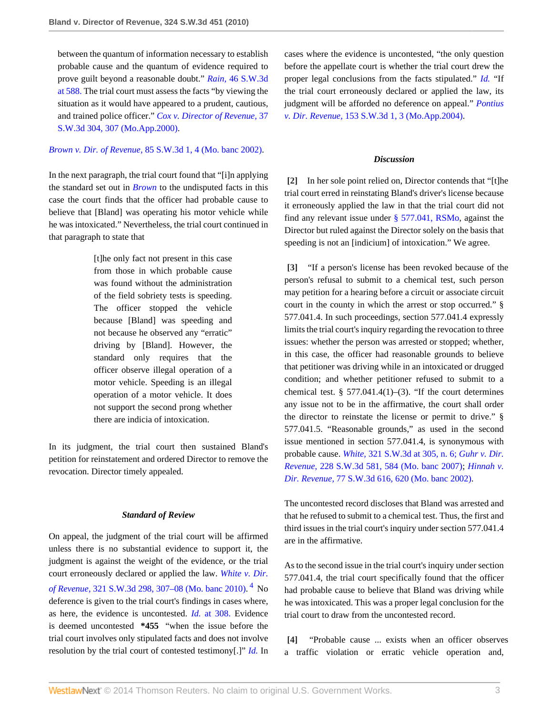between the quantum of information necessary to establish probable cause and the quantum of evidence required to prove guilt beyond a reasonable doubt." *Rain,* [46 S.W.3d](http://www.westlaw.com/Link/Document/FullText?findType=Y&serNum=2001308850&pubNum=4644&fi=co_pp_sp_4644_588&originationContext=document&vr=3.0&rs=cblt1.0&transitionType=DocumentItem&contextData=(sc.Search)#co_pp_sp_4644_588) [at 588.](http://www.westlaw.com/Link/Document/FullText?findType=Y&serNum=2001308850&pubNum=4644&fi=co_pp_sp_4644_588&originationContext=document&vr=3.0&rs=cblt1.0&transitionType=DocumentItem&contextData=(sc.Search)#co_pp_sp_4644_588) The trial court must assess the facts "by viewing the situation as it would have appeared to a prudent, cautious, and trained police officer." *[Cox v. Director of Revenue,](http://www.westlaw.com/Link/Document/FullText?findType=Y&serNum=2000638871&pubNum=4644&fi=co_pp_sp_4644_307&originationContext=document&vr=3.0&rs=cblt1.0&transitionType=DocumentItem&contextData=(sc.Search)#co_pp_sp_4644_307)* 37 [S.W.3d 304, 307 \(Mo.App.2000\).](http://www.westlaw.com/Link/Document/FullText?findType=Y&serNum=2000638871&pubNum=4644&fi=co_pp_sp_4644_307&originationContext=document&vr=3.0&rs=cblt1.0&transitionType=DocumentItem&contextData=(sc.Search)#co_pp_sp_4644_307)

# *Brown v. Dir. of Revenue,* [85 S.W.3d 1, 4 \(Mo. banc 2002\)](http://www.westlaw.com/Link/Document/FullText?findType=Y&serNum=2002606004&pubNum=4644&fi=co_pp_sp_4644_4&originationContext=document&vr=3.0&rs=cblt1.0&transitionType=DocumentItem&contextData=(sc.Search)#co_pp_sp_4644_4).

In the next paragraph, the trial court found that "[i]n applying the standard set out in *[Brown](http://www.westlaw.com/Link/Document/FullText?findType=Y&serNum=2002606004&originationContext=document&vr=3.0&rs=cblt1.0&transitionType=DocumentItem&contextData=(sc.Search))* to the undisputed facts in this case the court finds that the officer had probable cause to believe that [Bland] was operating his motor vehicle while he was intoxicated." Nevertheless, the trial court continued in that paragraph to state that

> [t]he only fact not present in this case from those in which probable cause was found without the administration of the field sobriety tests is speeding. The officer stopped the vehicle because [Bland] was speeding and not because he observed any "erratic" driving by [Bland]. However, the standard only requires that the officer observe illegal operation of a motor vehicle. Speeding is an illegal operation of a motor vehicle. It does not support the second prong whether there are indicia of intoxication.

In its judgment, the trial court then sustained Bland's petition for reinstatement and ordered Director to remove the revocation. Director timely appealed.

### *Standard of Review*

On appeal, the judgment of the trial court will be affirmed unless there is no substantial evidence to support it, the judgment is against the weight of the evidence, or the trial court erroneously declared or applied the law. *[White v. Dir.](http://www.westlaw.com/Link/Document/FullText?findType=Y&serNum=2022811102&pubNum=4644&fi=co_pp_sp_4644_307&originationContext=document&vr=3.0&rs=cblt1.0&transitionType=DocumentItem&contextData=(sc.Search)#co_pp_sp_4644_307) of Revenue,* [321 S.W.3d 298, 307–08 \(Mo. banc 2010\)](http://www.westlaw.com/Link/Document/FullText?findType=Y&serNum=2022811102&pubNum=4644&fi=co_pp_sp_4644_307&originationContext=document&vr=3.0&rs=cblt1.0&transitionType=DocumentItem&contextData=(sc.Search)#co_pp_sp_4644_307). [4](#page-3-3) No deference is given to the trial court's findings in cases where, as here, the evidence is uncontested. *Id.* [at 308.](http://www.westlaw.com/Link/Document/FullText?findType=Y&serNum=2022811102&originationContext=document&vr=3.0&rs=cblt1.0&transitionType=DocumentItem&contextData=(sc.Search)) Evidence is deemed uncontested **\*455** "when the issue before the trial court involves only stipulated facts and does not involve resolution by the trial court of contested testimony[.]" *[Id.](http://www.westlaw.com/Link/Document/FullText?findType=Y&serNum=2022811102&originationContext=document&vr=3.0&rs=cblt1.0&transitionType=DocumentItem&contextData=(sc.Search))* In

cases where the evidence is uncontested, "the only question before the appellate court is whether the trial court drew the proper legal conclusions from the facts stipulated." *[Id.](http://www.westlaw.com/Link/Document/FullText?findType=Y&serNum=2022811102&originationContext=document&vr=3.0&rs=cblt1.0&transitionType=DocumentItem&contextData=(sc.Search))* "If the trial court erroneously declared or applied the law, its judgment will be afforded no deference on appeal." *[Pontius](http://www.westlaw.com/Link/Document/FullText?findType=Y&serNum=2004461996&pubNum=4644&fi=co_pp_sp_4644_3&originationContext=document&vr=3.0&rs=cblt1.0&transitionType=DocumentItem&contextData=(sc.Search)#co_pp_sp_4644_3) v. Dir. Revenue,* [153 S.W.3d 1, 3 \(Mo.App.2004\)](http://www.westlaw.com/Link/Document/FullText?findType=Y&serNum=2004461996&pubNum=4644&fi=co_pp_sp_4644_3&originationContext=document&vr=3.0&rs=cblt1.0&transitionType=DocumentItem&contextData=(sc.Search)#co_pp_sp_4644_3).

### *Discussion*

<span id="page-2-0"></span>**[\[2\]](#page-0-0)** In her sole point relied on, Director contends that "[t]he trial court erred in reinstating Bland's driver's license because it erroneously applied the law in that the trial court did not find any relevant issue under [§ 577.041, RSMo,](http://www.westlaw.com/Link/Document/FullText?findType=L&pubNum=1000229&cite=MOST577.041&originatingDoc=I691e5ad8de9311df952c80d2993fba83&refType=LQ&originationContext=document&vr=3.0&rs=cblt1.0&transitionType=DocumentItem&contextData=(sc.Search)) against the Director but ruled against the Director solely on the basis that speeding is not an [indicium] of intoxication." We agree.

<span id="page-2-1"></span>**[\[3\]](#page-0-2)** "If a person's license has been revoked because of the person's refusal to submit to a chemical test, such person may petition for a hearing before a circuit or associate circuit court in the county in which the arrest or stop occurred." § 577.041.4. In such proceedings, section 577.041.4 expressly limits the trial court's inquiry regarding the revocation to three issues: whether the person was arrested or stopped; whether, in this case, the officer had reasonable grounds to believe that petitioner was driving while in an intoxicated or drugged condition; and whether petitioner refused to submit to a chemical test. § 577.041.4(1)–(3). "If the court determines any issue not to be in the affirmative, the court shall order the director to reinstate the license or permit to drive." § 577.041.5. "Reasonable grounds," as used in the second issue mentioned in section 577.041.4, is synonymous with probable cause. *White,* [321 S.W.3d at 305, n. 6;](http://www.westlaw.com/Link/Document/FullText?findType=Y&serNum=2022811102&pubNum=4644&fi=co_pp_sp_4644_305&originationContext=document&vr=3.0&rs=cblt1.0&transitionType=DocumentItem&contextData=(sc.Search)#co_pp_sp_4644_305) *[Guhr v. Dir.](http://www.westlaw.com/Link/Document/FullText?findType=Y&serNum=2012546101&pubNum=4644&fi=co_pp_sp_4644_584&originationContext=document&vr=3.0&rs=cblt1.0&transitionType=DocumentItem&contextData=(sc.Search)#co_pp_sp_4644_584) Revenue,* [228 S.W.3d 581, 584 \(Mo. banc 2007\)](http://www.westlaw.com/Link/Document/FullText?findType=Y&serNum=2012546101&pubNum=4644&fi=co_pp_sp_4644_584&originationContext=document&vr=3.0&rs=cblt1.0&transitionType=DocumentItem&contextData=(sc.Search)#co_pp_sp_4644_584); *[Hinnah v.](http://www.westlaw.com/Link/Document/FullText?findType=Y&serNum=2002392519&pubNum=4644&fi=co_pp_sp_4644_620&originationContext=document&vr=3.0&rs=cblt1.0&transitionType=DocumentItem&contextData=(sc.Search)#co_pp_sp_4644_620) Dir. Revenue,* [77 S.W.3d 616, 620 \(Mo. banc 2002\)](http://www.westlaw.com/Link/Document/FullText?findType=Y&serNum=2002392519&pubNum=4644&fi=co_pp_sp_4644_620&originationContext=document&vr=3.0&rs=cblt1.0&transitionType=DocumentItem&contextData=(sc.Search)#co_pp_sp_4644_620).

The uncontested record discloses that Bland was arrested and that he refused to submit to a chemical test. Thus, the first and third issues in the trial court's inquiry under section 577.041.4 are in the affirmative.

<span id="page-2-3"></span>As to the second issue in the trial court's inquiry under section 577.041.4, the trial court specifically found that the officer had probable cause to believe that Bland was driving while he was intoxicated. This was a proper legal conclusion for the trial court to draw from the uncontested record.

<span id="page-2-2"></span>**[\[4\]](#page-0-3)** "Probable cause ... exists when an officer observes a traffic violation or erratic vehicle operation and,